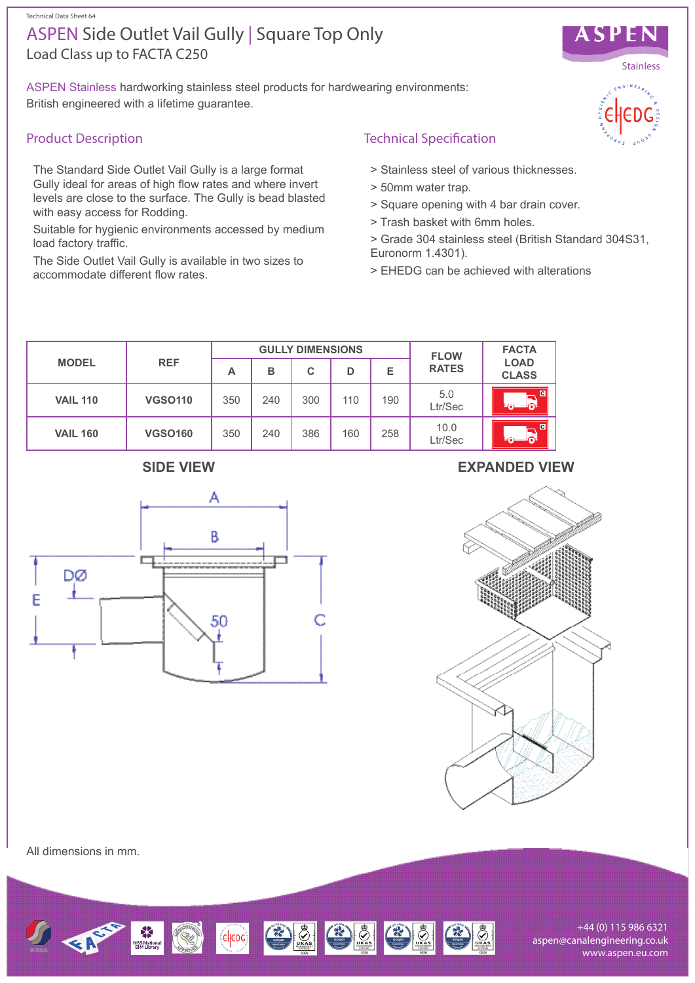#### Technical Data Sheet 64

# Load Class up to FACTA C250 ASPEN Side Outlet Vail Gully | Square Top Only

ASPEN Stainless hardworking stainless steel products for hardwearing environments: British engineered with a lifetime guarantee.

### Product Description

The Standard Side Outlet Vail Gully is a large format Gully ideal for areas of high flow rates and where invert levels are close to the surface. The Gully is bead blasted with easy access for Rodding.

Suitable for hygienic environments accessed by medium load factory traffic.

The Side Outlet Vail Gully is available in two sizes to accommodate different flow rates.

## Technical Specification

- > Stainless steel of various thicknesses.
- > 50mm water trap.
- > Square opening with 4 bar drain cover.
- > Trash basket with 6mm holes.
- > Grade 304 stainless steel (British Standard 304S31, Euronorm 1.4301).
- > EHEDG can be achieved with alterations

| <b>MODEL</b>    | <b>REF</b>     | <b>GULLY DIMENSIONS</b> |     |     |     |     | <b>FLOW</b>     | <b>FACTA</b>                |
|-----------------|----------------|-------------------------|-----|-----|-----|-----|-----------------|-----------------------------|
|                 |                | A                       | в   | C   | D   | Е   | <b>RATES</b>    | <b>LOAD</b><br><b>CLASS</b> |
| <b>VAIL 110</b> | <b>VGSO110</b> | 350                     | 240 | 300 | 110 | 190 | 5.0<br>Ltr/Sec  | $\blacksquare$<br>⋒         |
| <b>VAIL 160</b> | <b>VGSO160</b> | 350                     | 240 | 386 | 160 | 258 | 10.0<br>Ltr/Sec | $\overline{c}$<br>െ         |



### **SIDE VIEW EXPANDED VIEW**



All dimensions in mm.



+44 (0) 115 986 6321 aspen@canalengineering.co.uk www.aspen.eu.com



ASPEN